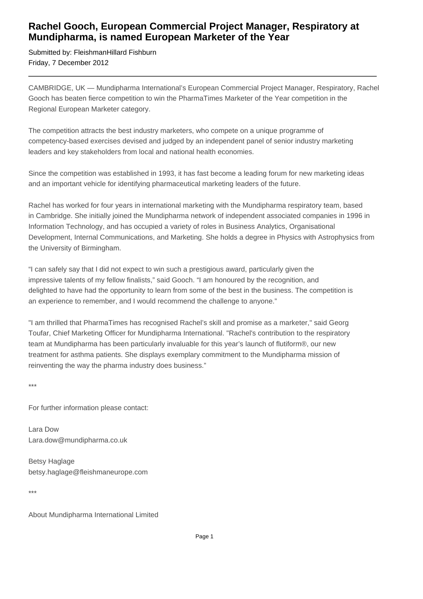## **Rachel Gooch, European Commercial Project Manager, Respiratory at Mundipharma, is named European Marketer of the Year**

Submitted by: FleishmanHillard Fishburn Friday, 7 December 2012

CAMBRIDGE, UK — Mundipharma International's European Commercial Project Manager, Respiratory, Rachel Gooch has beaten fierce competition to win the PharmaTimes Marketer of the Year competition in the Regional European Marketer category.

The competition attracts the best industry marketers, who compete on a unique programme of competency-based exercises devised and judged by an independent panel of senior industry marketing leaders and key stakeholders from local and national health economies.

Since the competition was established in 1993, it has fast become a leading forum for new marketing ideas and an important vehicle for identifying pharmaceutical marketing leaders of the future.

Rachel has worked for four years in international marketing with the Mundipharma respiratory team, based in Cambridge. She initially joined the Mundipharma network of independent associated companies in 1996 in Information Technology, and has occupied a variety of roles in Business Analytics, Organisational Development, Internal Communications, and Marketing. She holds a degree in Physics with Astrophysics from the University of Birmingham.

"I can safely say that I did not expect to win such a prestigious award, particularly given the impressive talents of my fellow finalists," said Gooch. "I am honoured by the recognition, and delighted to have had the opportunity to learn from some of the best in the business. The competition is an experience to remember, and I would recommend the challenge to anyone."

"I am thrilled that PharmaTimes has recognised Rachel's skill and promise as a marketer," said Georg Toufar, Chief Marketing Officer for Mundipharma International. "Rachel's contribution to the respiratory team at Mundipharma has been particularly invaluable for this year's launch of flutiform®, our new treatment for asthma patients. She displays exemplary commitment to the Mundipharma mission of reinventing the way the pharma industry does business."

\*\*\*

For further information please contact:

Lara Dow Lara.dow@mundipharma.co.uk

Betsy Haglage betsy.haglage@fleishmaneurope.com

\*\*\*

About Mundipharma International Limited